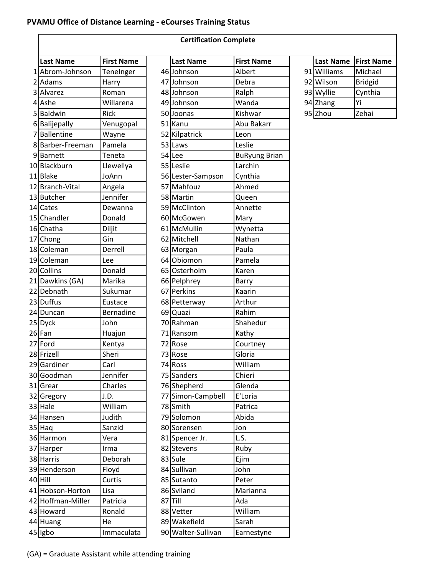## **PVAMU Office of Distance Learning ‐ eCourses Training Status**

|   | <b>Certification Complete</b> |                   |  |                    |                      |  |
|---|-------------------------------|-------------------|--|--------------------|----------------------|--|
|   | <b>Last Name</b>              | <b>First Name</b> |  | <b>Last Name</b>   | <b>First Name</b>    |  |
|   | 1 Abrom-Johnson               | TeneInger         |  | 46 Johnson         | Albert               |  |
|   | 2 Adams                       | Harry             |  | 47 Johnson         | Debra                |  |
| 3 | Alvarez                       | Roman             |  | 48 Johnson         | Ralph                |  |
| 4 | Ashe                          | Willarena         |  | 49 Johnson         | Wanda                |  |
| 5 | Baldwin                       | Rick              |  | 50 Joonas          | Kishwar              |  |
|   | 6 Balijepally                 | Venugopal         |  | 51 Kanu            | Abu Bakarr           |  |
| 7 | <b>Ballentine</b>             | Wayne             |  | 52 Kilpatrick      | Leon                 |  |
|   | 8Barber-Freeman               | Pamela            |  | 53 Laws            | Leslie               |  |
|   | 9 Barnett                     | Teneta            |  | 54 Lee             | <b>BuRyung Brian</b> |  |
|   | 10Blackburn                   | Llewellya         |  | 55 Leslie          | Larchin              |  |
|   | 11 Blake                      | JoAnn             |  | 56 Lester-Sampson  | Cynthia              |  |
|   | 12 Branch-Vital               | Angela            |  | 57 Mahfouz         | Ahmed                |  |
|   | 13 Butcher                    | Jennifer          |  | 58 Martin          | Queen                |  |
|   | 14 Cates                      | Dewanna           |  | 59 McClinton       | Annette              |  |
|   | 15 Chandler                   | Donald            |  | 60 McGowen         | Mary                 |  |
|   | 16 Chatha                     | Diljit            |  | 61 McMullin        | Wynetta              |  |
|   | 17 Chong                      | Gin               |  | 62 Mitchell        | Nathan               |  |
|   | 18 Coleman                    | Derrell           |  | 63 Morgan          | Paula                |  |
|   | 19 Coleman                    | Lee               |  | 64 Obiomon         | Pamela               |  |
|   | 20 Collins                    | Donald            |  | 65 Osterholm       | Karen                |  |
|   | 21 Dawkins (GA)               | Marika            |  | 66 Pelphrey        | Barry                |  |
|   | 22 Debnath                    | Sukumar           |  | 67 Perkins         | Kaarin               |  |
|   | 23 Duffus                     | Eustace           |  | 68 Petterway       | Arthur               |  |
|   | 24 Duncan                     | Bernadine         |  | 69 Quazi           | Rahim                |  |
|   | 25 Dyck                       | John              |  | 70 Rahman          | Shahedur             |  |
|   | 26 Fan                        | Huajun            |  | 71 Ransom          | Kathy                |  |
|   | 27 Ford                       | Kentya            |  | 72 Rose            | Courtney             |  |
|   | 28 Frizell                    | Sheri             |  | 73 Rose            | Gloria               |  |
|   | 29 Gardiner                   | Carl              |  | 74 Ross            | William              |  |
|   | 30 Goodman                    | Jennifer          |  | 75 Sanders         | Chieri               |  |
|   | 31 Grear                      | Charles           |  | 76 Shepherd        | Glenda               |  |
|   | 32 Gregory                    | J.D.              |  | 77 Simon-Campbell  | E'Loria              |  |
|   | 33 Hale                       | William           |  | 78 Smith           | Patrica              |  |
|   | 34 Hansen                     | Judith            |  | 79 Solomon         | Abida                |  |
|   | 35 Haq                        | Sanzid            |  | 80 Sorensen        | Jon                  |  |
|   | 36 Harmon                     | Vera              |  | 81 Spencer Jr.     | L.S.                 |  |
|   | 37 Harper                     | Irma              |  | 82 Stevens         | Ruby                 |  |
|   | 38 Harris                     | Deborah           |  | 83 Sule            | Ejim                 |  |
|   | 39 Henderson                  | Floyd             |  | 84 Sullivan        | John                 |  |
|   | 40 Hill                       | Curtis            |  | 85 Sutanto         | Peter                |  |
|   | 41 Hobson-Horton              | Lisa              |  | 86 Sviland         | Marianna             |  |
|   | 42 Hoffman-Miller             | Patricia          |  | 87 Till            | Ada                  |  |
|   | 43 Howard                     | Ronald            |  | 88 Vetter          | William              |  |
|   | 44 Huang                      | He                |  | 89 Wakefield       | Sarah                |  |
|   | 45 Igbo                       | Immaculata        |  | 90 Walter-Sullivan | Earnestyne           |  |

| <b>Last Name</b>  | <b>First Name</b> | <b>Last Name</b>   | <b>First Name</b>    | <b>Last Name</b> | <b>First Name</b> |
|-------------------|-------------------|--------------------|----------------------|------------------|-------------------|
| 1 Abrom-Johnson   | TeneInger         | 46 Johnson         | Albert               | 91 Williams      | Michael           |
| 2 Adams           | Harry             | 47 Johnson         | Debra                | 92 Wilson        | <b>Bridgid</b>    |
| 3 Alvarez         | Roman             | 48 Johnson         | Ralph                | 93 Wyllie        | Cynthia           |
| 4 Ashe            | Willarena         | 49 Johnson         | Wanda                | 94 Zhang         | Yi                |
|                   |                   |                    |                      |                  |                   |
| 5 Baldwin         | Rick              | 50 Joonas          | Kishwar              | 95 Zhou          | Zehai             |
| 6 Balijepally     | Venugopal         | 51 Kanu            | Abu Bakarr           |                  |                   |
| 7 Ballentine      | Wayne             | 52 Kilpatrick      | Leon                 |                  |                   |
| 8 Barber-Freeman  | Pamela            | 53 Laws            | Leslie               |                  |                   |
| 9 Barnett         | Teneta            | 54 Lee             | <b>BuRyung Brian</b> |                  |                   |
| 10 Blackburn      | Llewellya         | 55 Leslie          | Larchin              |                  |                   |
| 11 Blake          | JoAnn             | 56 Lester-Sampson  | Cynthia              |                  |                   |
| 12 Branch-Vital   | Angela            | 57 Mahfouz         | Ahmed                |                  |                   |
| 13 Butcher        | Jennifer          | 58 Martin          | Queen                |                  |                   |
| 14 Cates          | Dewanna           | 59 McClinton       | Annette              |                  |                   |
| 15 Chandler       | Donald            | 60 McGowen         | Mary                 |                  |                   |
| 16 Chatha         | Diljit            | 61 McMullin        | Wynetta              |                  |                   |
| 17 Chong          | Gin               | 62 Mitchell        | Nathan               |                  |                   |
| 18 Coleman        | Derrell           | 63 Morgan          | Paula                |                  |                   |
| 19 Coleman        | Lee               | 64 Obiomon         | Pamela               |                  |                   |
| 20 Collins        | Donald            | 65 Osterholm       | Karen                |                  |                   |
| 21 Dawkins (GA)   | Marika            | 66 Pelphrey        | Barry                |                  |                   |
| 22 Debnath        | Sukumar           | 67 Perkins         | Kaarin               |                  |                   |
| 23 Duffus         | Eustace           | 68 Petterway       | Arthur               |                  |                   |
| 24 Duncan         | Bernadine         | 69 Quazi           | Rahim                |                  |                   |
| 25 Dyck           | John              | 70 Rahman          | Shahedur             |                  |                   |
| 26 Fan            | Huajun            | 71 Ransom          | Kathy                |                  |                   |
| 27 Ford           | Kentya            | 72 Rose            | Courtney             |                  |                   |
| 28 Frizell        | Sheri             | 73 Rose            | Gloria               |                  |                   |
| 29 Gardiner       | Carl              | 74 Ross            | William              |                  |                   |
| 30 Goodman        | Jennifer          | 75 Sanders         | Chieri               |                  |                   |
| 31 Grear          | Charles           | 76 Shepherd        | Glenda               |                  |                   |
| 32 Gregory        | J.D.              | 77 Simon-Campbell  | E'Loria              |                  |                   |
| 33 Hale           | William           | 78 Smith           | Patrica              |                  |                   |
| 34 Hansen         | Judith            | 79 Solomon         | Abida                |                  |                   |
| 35 Haq            | Sanzid            | 80 Sorensen        | Jon                  |                  |                   |
| 36 Harmon         | Vera              | 81 Spencer Jr.     | L.S.                 |                  |                   |
| 37 Harper         | Irma              | 82 Stevens         | Ruby                 |                  |                   |
| 38 Harris         | Deborah           | 83 Sule            | Ejim                 |                  |                   |
| 39 Henderson      | Floyd             | 84 Sullivan        | John                 |                  |                   |
| 40 Hill           | Curtis            | 85 Sutanto         | Peter                |                  |                   |
| 41 Hobson-Horton  | Lisa              | 86 Sviland         | Marianna             |                  |                   |
| 42 Hoffman-Miller | Patricia          | $87$ $Till$        | Ada                  |                  |                   |
| 43 Howard         | Ronald            | 88 Vetter          | William              |                  |                   |
| 44 Huang          | He                | 89 Wakefield       | Sarah                |                  |                   |
| 45 Igbo           | Immaculata        | 90 Walter-Sullivan | Earnestyne           |                  |                   |
|                   |                   |                    |                      |                  |                   |

| <b>Last Name</b> | <b>First Name</b> |
|------------------|-------------------|
| 91 Williams      | Michael           |
| 92 Wilson        | <b>Bridgid</b>    |
| 93 Wyllie        | Cynthia           |
| 94 Zhang         | Yi                |
| 95 Zhou          | Zehai             |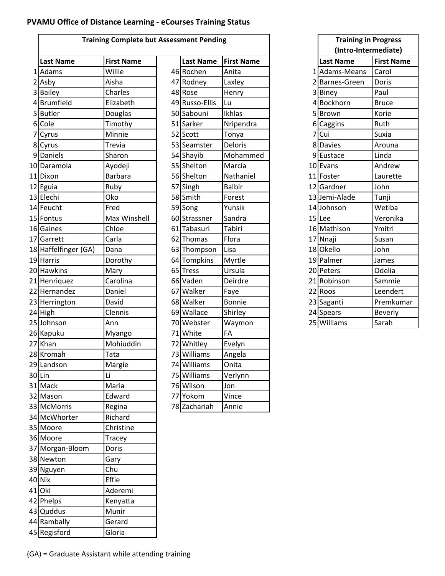## **PVAMU Office of Distance Learning ‐ eCourses Training Status**

|   |                      | <b>Training Complete but Assessment Pending</b> |                  |                   |   | <b>Training in Progress</b> |                   |
|---|----------------------|-------------------------------------------------|------------------|-------------------|---|-----------------------------|-------------------|
|   |                      |                                                 |                  |                   |   | (Intro-Intermediate)        |                   |
|   | <b>Last Name</b>     | <b>First Name</b>                               | <b>Last Name</b> | <b>First Name</b> |   | <b>Last Name</b>            | <b>First Name</b> |
|   | 1 Adams              | Willie                                          | 46 Rochen        | Anita             |   | 1 Adams-Means               | Carol             |
|   | 2 Asby               | Aisha                                           | 47 Rodney        | Laxley            |   | 2 Barnes-Green              | Doris             |
|   | 3 Bailey             | Charles                                         | 48 Rose          | Henry             |   | 3 Biney                     | Paul              |
|   | 4Brumfield           | Elizabeth                                       | 49 Russo-Ellis   | Lu                |   | 4 Bockhorn                  | <b>Bruce</b>      |
|   | 5Butler              | Douglas                                         | 50 Sabouni       | Ikhlas            |   | 5Brown                      | Korie             |
|   | 6 Cole               | Timothy                                         | 51 Sarker        | Nripendra         | 6 | Caggins                     | Ruth              |
| 7 | Cyrus                | Minnie                                          | 52 Scott         | Tonya             | 7 | Cui                         | Suxia             |
|   | 8 Cyrus              | Trevia                                          | 53 Seamster      | <b>Deloris</b>    |   | 8 Davies                    | Arouna            |
|   | 9 Daniels            | Sharon                                          | 54 Shayib        | Mohammed          |   | 9Eustace                    | Linda             |
|   | 10 Daramola          | Ayodeji                                         | 55 Shelton       | Marcia            |   | 10 Evans                    | Andrew            |
|   | 11 Dixon             | <b>Barbara</b>                                  | 56 Shelton       | Nathaniel         |   | 11 Foster                   | Laurette          |
|   | 12 Eguia             | Ruby                                            | 57 Singh         | <b>Balbir</b>     |   | 12 Gardner                  | John              |
|   | 13 Elechi            | Oko                                             | 58 Smith         | Forest            |   | 13 Jemi-Alade               | Tunji             |
|   | 14 Feucht            | Fred                                            | 59 Song          | Yunsik            |   | 14 Johnson                  | Wetiba            |
|   | 15 Fontus            | Max Winshell                                    | 60 Strassner     | Sandra            |   | 15 Lee                      | Veronika          |
|   | 16 Gaines            | Chloe                                           | 61 Tabasuri      | Tabiri            |   | 16 Mathison                 | Ymitri            |
|   | 17 Garrett           | Carla                                           | 62 Thomas        | Flora             |   | 17 Nnaji                    | Susan             |
|   | 18 Haffelfinger (GA) | Dana                                            | 63 Thompson      | Lisa              |   | 18 Okello                   | John              |
|   | 19 Harris            | Dorothy                                         | 64 Tompkins      | Myrtle            |   | 19 Palmer                   | James             |
|   | 20 Hawkins           | Mary                                            | 65 Tress         | Ursula            |   | 20 Peters                   | Odelia            |
|   | 21 Henriquez         | Carolina                                        | 66 Vaden         | Deirdre           |   | 21 Robinson                 | Sammie            |
|   | 22 Hernandez         | Daniel                                          | 67 Walker        | Faye              |   | 22 Roos                     | Leendert          |
|   | 23 Herrington        | David                                           | 68 Walker        | Bonnie            |   | 23 Saganti                  | Premkumar         |
|   | 24 High              | Clennis                                         | 69 Wallace       | Shirley           |   | 24 Spears                   | <b>Beverly</b>    |
|   | 25 Johnson           | Ann                                             | 70 Webster       | Waymon            |   | 25 Williams                 | Sarah             |
|   | 26 Kapuku            | Myango                                          | 71 White         | FA                |   |                             |                   |
|   | 27 Khan              | Mohiuddin                                       | 72 Whitley       | Evelyn            |   |                             |                   |
|   | 28 Kromah            | Tata                                            | 73 Williams      | Angela            |   |                             |                   |
|   | 29 Landson           |                                                 | 74 Williams      | Onita             |   |                             |                   |
|   | $30$ Lin             | Margie<br>Li                                    | 75 Williams      | Verlynn           |   |                             |                   |
|   |                      |                                                 | 76 Wilson        |                   |   |                             |                   |
|   | 31 Mack              | Maria                                           |                  | Jon               |   |                             |                   |
|   | 32 Mason             | Edward                                          | 77 Yokom         | Vince             |   |                             |                   |
|   | 33 McMorris          | Regina                                          | 78 Zachariah     | Annie             |   |                             |                   |
|   | 34 McWhorter         | Richard                                         |                  |                   |   |                             |                   |
|   | 35 Moore             | Christine                                       |                  |                   |   |                             |                   |
|   | 36 Moore             | Tracey                                          |                  |                   |   |                             |                   |
|   | 37 Morgan-Bloom      | Doris                                           |                  |                   |   |                             |                   |
|   | 38 Newton            | Gary                                            |                  |                   |   |                             |                   |
|   | 39 Nguyen            | Chu                                             |                  |                   |   |                             |                   |
|   | 40 Nix               | Effie                                           |                  |                   |   |                             |                   |
|   | 41 Oki               | Aderemi                                         |                  |                   |   |                             |                   |
|   | 42 Phelps            | Kenyatta                                        |                  |                   |   |                             |                   |
|   | 43 Quddus            | Munir                                           |                  |                   |   |                             |                   |
|   | 44 Rambally          | Gerard                                          |                  |                   |   |                             |                   |
|   | 45 Regisford         | Gloria                                          |                  |                   |   |                             |                   |

| ssessment Pending |                  |                   |  |  |  |
|-------------------|------------------|-------------------|--|--|--|
|                   | <b>Last Name</b> | <b>First Name</b> |  |  |  |
|                   | 46 Rochen        | Anita             |  |  |  |
|                   | 47 Rodney        | Laxley            |  |  |  |
|                   | 48 Rose          | Henry             |  |  |  |
|                   | 49 Russo-Ellis   | Lu                |  |  |  |
|                   | 50 Sabouni       | Ikhlas            |  |  |  |
|                   | 51 Sarker        | Nripendra         |  |  |  |
|                   | 52 Scott         | Tonya             |  |  |  |
|                   | 53 Seamster      | Deloris           |  |  |  |
|                   | 54 Shayib        | Mohammed          |  |  |  |
|                   | 55 Shelton       | Marcia            |  |  |  |
|                   | 56 Shelton       | Nathaniel         |  |  |  |
|                   | 57 Singh         | <b>Balbir</b>     |  |  |  |
|                   | 58 Smith         | Forest            |  |  |  |
|                   | 59 Song          | Yunsik            |  |  |  |
|                   | 60 Strassner     | Sandra            |  |  |  |
|                   | 61 Tabasuri      | Tabiri            |  |  |  |
|                   | 62 Thomas        | Flora             |  |  |  |
|                   | 63 Thompson      | Lisa              |  |  |  |
|                   | 64 Tompkins      | Myrtle            |  |  |  |
|                   | 65 Tress         | Ursula            |  |  |  |
|                   | 66 Vaden         | Deirdre           |  |  |  |
|                   | 67 Walker        | Faye              |  |  |  |
|                   | 68 Walker        | Bonnie            |  |  |  |
|                   | 69 Wallace       | Shirley           |  |  |  |
|                   | 70 Webster       | Waymon            |  |  |  |
|                   | 71 White         | FA                |  |  |  |
|                   | 72 Whitley       | Evelyn            |  |  |  |
|                   | 73 Williams      | Angela            |  |  |  |
|                   | 74 Williams      | Onita             |  |  |  |
|                   | 75 Williams      | Verlynn           |  |  |  |
|                   | 76 Wilson        | Jon               |  |  |  |
|                   | 77 Yokom         | Vince             |  |  |  |
|                   | 78 Zachariah     | Annie             |  |  |  |

|                         | <b>Training in Progress</b> |                   |  |  |  |  |  |
|-------------------------|-----------------------------|-------------------|--|--|--|--|--|
|                         | (Intro-Intermediate)        |                   |  |  |  |  |  |
|                         | <b>Last Name</b>            | <b>First Name</b> |  |  |  |  |  |
|                         | 1 Adams-Means               | Carol             |  |  |  |  |  |
| $\overline{2}$          | <b>Barnes-Green</b>         | Doris             |  |  |  |  |  |
| $\overline{\mathbf{3}}$ | <b>Biney</b>                | Paul              |  |  |  |  |  |
| $\overline{4}$          | Bockhorn                    | <b>Bruce</b>      |  |  |  |  |  |
| 5                       | <b>Brown</b>                | Korie             |  |  |  |  |  |
| 6                       | Caggins                     | Ruth              |  |  |  |  |  |
| 7                       | Cui                         | Suxia             |  |  |  |  |  |
|                         | 8 Davies                    | Arouna            |  |  |  |  |  |
|                         | 9 Eustace                   | Linda             |  |  |  |  |  |
|                         | 10 Evans                    | Andrew            |  |  |  |  |  |
|                         | 11 Foster                   | Laurette          |  |  |  |  |  |
|                         | 12 Gardner                  | John              |  |  |  |  |  |
|                         | 13 Jemi-Alade               | Tunji             |  |  |  |  |  |
|                         | 14 Johnson                  | Wetiba            |  |  |  |  |  |
|                         | $15$ Lee                    | Veronika          |  |  |  |  |  |
|                         | 16 Mathison                 | Ymitri            |  |  |  |  |  |
|                         | 17 Nnaji                    | Susan             |  |  |  |  |  |
|                         | 18 Okello                   | John              |  |  |  |  |  |
|                         | 19 Palmer                   | James             |  |  |  |  |  |
|                         | 20 Peters                   | Odelia            |  |  |  |  |  |
|                         | 21 Robinson                 | Sammie            |  |  |  |  |  |
|                         | 22 Roos                     | Leendert          |  |  |  |  |  |
|                         | 23 Saganti                  | Premkumar         |  |  |  |  |  |
|                         | 24 Spears                   | <b>Beverly</b>    |  |  |  |  |  |
|                         | 25 Williams                 | Sarah             |  |  |  |  |  |